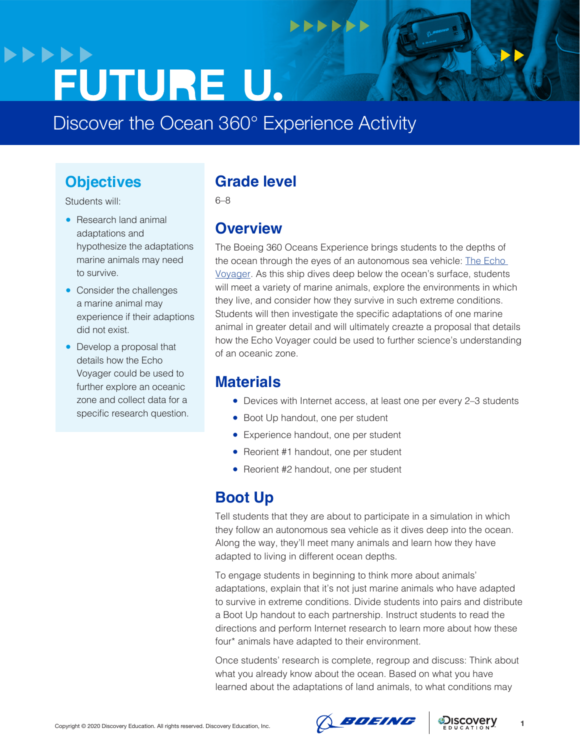## **>>>>>> FUTURE U.**

Discover the Ocean 360° Experience Activity

### **Objectives**

Students will:

- Research land animal adaptations and hypothesize the adaptations marine animals may need to survive.
- Consider the challenges a marine animal may experience if their adaptions did not exist.
- Develop a proposal that details how the Echo Voyager could be used to further explore an oceanic zone and collect data for a specific research question.

### **Grade level**

6–8

### **Overview**

The Boeing 360 Oceans Experience brings students to the depths of the ocean through the eyes of an autonomous sea vehicle: The Echo [Voyager.](https://www.boeing.com/defense/autonomous-systems/echo-voyager/index.page) As this ship dives deep below the ocean's surface, students will meet a variety of marine animals, explore the environments in which they live, and consider how they survive in such extreme conditions. Students will then investigate the specific adaptations of one marine animal in greater detail and will ultimately creazte a proposal that details how the Echo Voyager could be used to further science's understanding of an oceanic zone.

### **Materials**

- Devices with Internet access, at least one per every 2-3 students
- Boot Up handout, one per student
- Experience handout, one per student

**NNNNNN** 

- Reorient #1 handout, one per student
- Reorient #2 handout, one per student

### **Boot Up**

Tell students that they are about to participate in a simulation in which they follow an autonomous sea vehicle as it dives deep into the ocean. Along the way, they'll meet many animals and learn how they have adapted to living in different ocean depths.

To engage students in beginning to think more about animals' adaptations, explain that it's not just marine animals who have adapted to survive in extreme conditions. Divide students into pairs and distribute a Boot Up handout to each partnership. Instruct students to read the directions and perform Internet research to learn more about how these four\* animals have adapted to their environment.

Once students' research is complete, regroup and discuss: Think about what you already know about the ocean. Based on what you have learned about the adaptations of land animals, to what conditions may



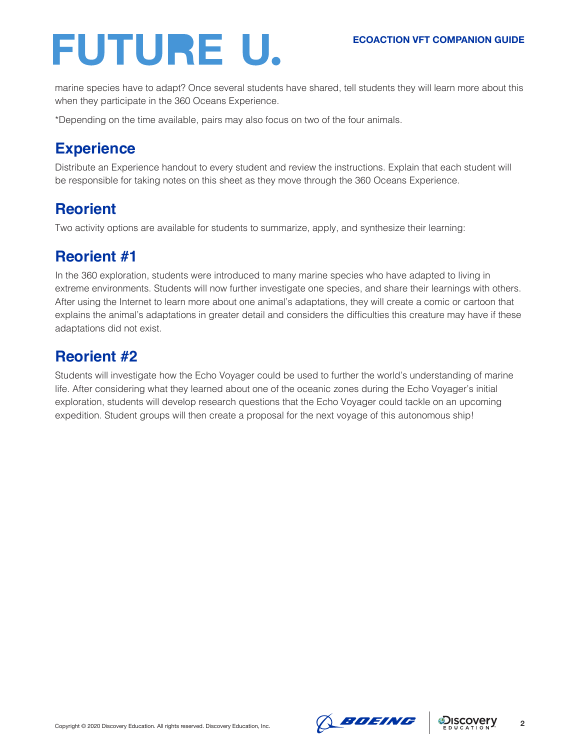# FUTURE U.

marine species have to adapt? Once several students have shared, tell students they will learn more about this when they participate in the 360 Oceans Experience.

\*Depending on the time available, pairs may also focus on two of the four animals.

### **Experience**

Distribute an Experience handout to every student and review the instructions. Explain that each student will be responsible for taking notes on this sheet as they move through the 360 Oceans Experience.

### **Reorient**

Two activity options are available for students to summarize, apply, and synthesize their learning:

### **Reorient #1**

In the 360 exploration, students were introduced to many marine species who have adapted to living in extreme environments. Students will now further investigate one species, and share their learnings with others. After using the Internet to learn more about one animal's adaptations, they will create a comic or cartoon that explains the animal's adaptations in greater detail and considers the difficulties this creature may have if these adaptations did not exist.

### **Reorient #2**

Students will investigate how the Echo Voyager could be used to further the world's understanding of marine life. After considering what they learned about one of the oceanic zones during the Echo Voyager's initial exploration, students will develop research questions that the Echo Voyager could tackle on an upcoming expedition. Student groups will then create a proposal for the next voyage of this autonomous ship!





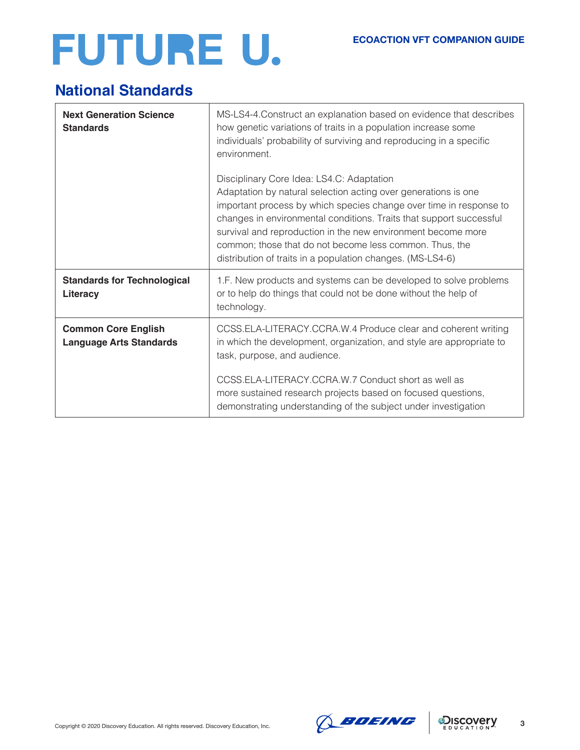# FUTURE U.

### **National Standards**

| <b>Next Generation Science</b><br><b>Standards</b>           | MS-LS4-4. Construct an explanation based on evidence that describes<br>how genetic variations of traits in a population increase some<br>individuals' probability of surviving and reproducing in a specific<br>environment.                                                                                                                                                                                                                      |
|--------------------------------------------------------------|---------------------------------------------------------------------------------------------------------------------------------------------------------------------------------------------------------------------------------------------------------------------------------------------------------------------------------------------------------------------------------------------------------------------------------------------------|
|                                                              | Disciplinary Core Idea: LS4.C: Adaptation<br>Adaptation by natural selection acting over generations is one<br>important process by which species change over time in response to<br>changes in environmental conditions. Traits that support successful<br>survival and reproduction in the new environment become more<br>common; those that do not become less common. Thus, the<br>distribution of traits in a population changes. (MS-LS4-6) |
| <b>Standards for Technological</b><br>Literacy               | 1.F. New products and systems can be developed to solve problems<br>or to help do things that could not be done without the help of<br>technology.                                                                                                                                                                                                                                                                                                |
| <b>Common Core English</b><br><b>Language Arts Standards</b> | CCSS.ELA-LITERACY.CCRA.W.4 Produce clear and coherent writing<br>in which the development, organization, and style are appropriate to<br>task, purpose, and audience.                                                                                                                                                                                                                                                                             |
|                                                              | CCSS.ELA-LITERACY.CCRA.W.7 Conduct short as well as<br>more sustained research projects based on focused questions,<br>demonstrating understanding of the subject under investigation                                                                                                                                                                                                                                                             |



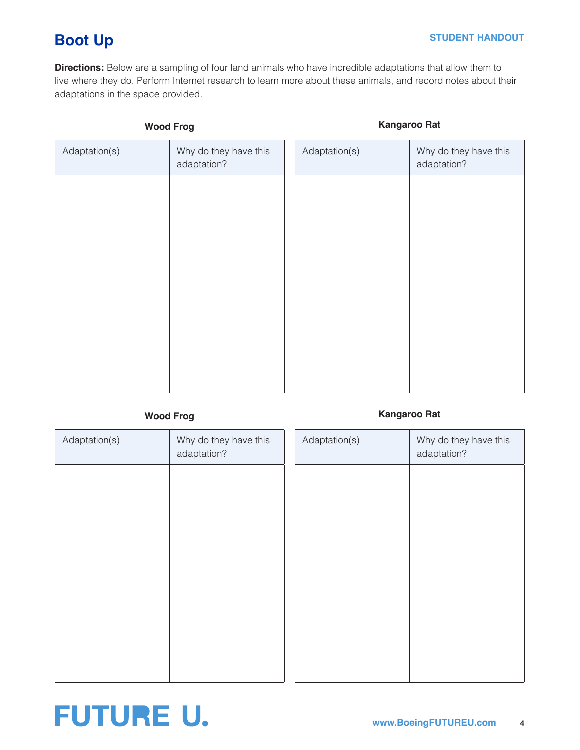### **Boot Up**

**Directions:** Below are a sampling of four land animals who have incredible adaptations that allow them to live where they do. Perform Internet research to learn more about these animals, and record notes about their adaptations in the space provided.

| <b>Wood Frog</b> |                                      |               | <b>Kangaroo Rat</b>                  |
|------------------|--------------------------------------|---------------|--------------------------------------|
| Adaptation(s)    | Why do they have this<br>adaptation? | Adaptation(s) | Why do they have this<br>adaptation? |
|                  |                                      |               |                                      |
|                  |                                      |               |                                      |
|                  |                                      |               |                                      |
|                  |                                      |               |                                      |
|                  |                                      |               |                                      |
|                  |                                      |               |                                      |
|                  |                                      |               |                                      |

### **Wood Frog Kangaroo Rat**

| Adaptation(s) | Why do they have this<br>adaptation? | Adaptation(s) | Why do they have this<br>adaptation? |
|---------------|--------------------------------------|---------------|--------------------------------------|
|               |                                      |               |                                      |
|               |                                      |               |                                      |
|               |                                      |               |                                      |
|               |                                      |               |                                      |
|               |                                      |               |                                      |
|               |                                      |               |                                      |
|               |                                      |               |                                      |

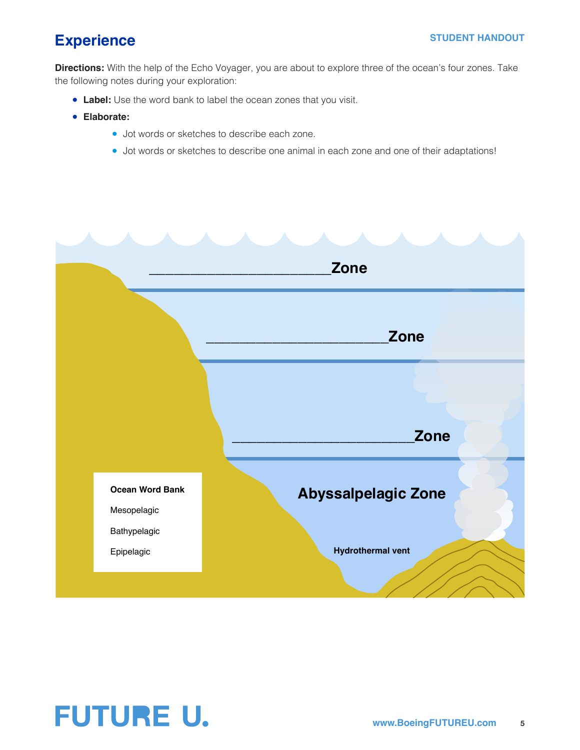#### **STUDENT HANDOUT**

### **Experience**

**Directions:** With the help of the Echo Voyager, you are about to explore three of the ocean's four zones. Take the following notes during your exploration:

- **Label:** Use the word bank to label the ocean zones that you visit.
- **Elaborate:** 
	- Jot words or sketches to describe each zone.
	- Jot words or sketches to describe one animal in each zone and one of their adaptations!



### **FUTURE U.**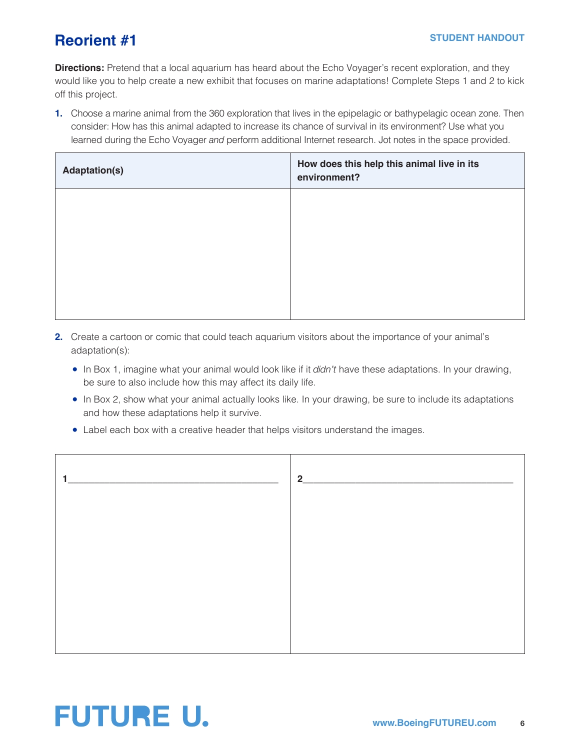### **Reorient #1**

**Directions:** Pretend that a local aquarium has heard about the Echo Voyager's recent exploration, and they would like you to help create a new exhibit that focuses on marine adaptations! Complete Steps 1 and 2 to kick off this project.

**1.** Choose a marine animal from the 360 exploration that lives in the epipelagic or bathypelagic ocean zone. Then consider: How has this animal adapted to increase its chance of survival in its environment? Use what you learned during the Echo Voyager *and* perform additional Internet research. Jot notes in the space provided.

| <b>Adaptation(s)</b> | How does this help this animal live in its<br>environment? |
|----------------------|------------------------------------------------------------|
|                      |                                                            |
|                      |                                                            |
|                      |                                                            |
|                      |                                                            |

- **2.** Create a cartoon or comic that could teach aquarium visitors about the importance of your animal's adaptation(s):
	- In Box 1, imagine what your animal would look like if it *didn't* have these adaptations. In your drawing, be sure to also include how this may affect its daily life.
	- In Box 2, show what your animal actually looks like. In your drawing, be sure to include its adaptations and how these adaptations help it survive.
	- Label each box with a creative header that helps visitors understand the images.

| $2^{\circ}$ |  |
|-------------|--|
|             |  |
|             |  |
|             |  |